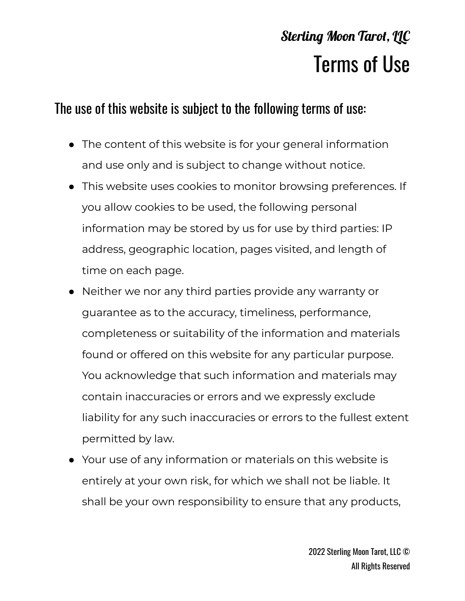## **Sterling Moon Tarot, LLC** Terms of Use

## The use of this website is subject to the following terms of use:

- The content of this website is for your general information and use only and is subject to change without notice.
- This website uses cookies to monitor browsing preferences. If you allow cookies to be used, the following personal information may be stored by us for use by third parties: IP address, geographic location, pages visited, and length of time on each page.
- Neither we nor any third parties provide any warranty or guarantee as to the accuracy, timeliness, performance, completeness or suitability of the information and materials found or offered on this website for any particular purpose. You acknowledge that such information and materials may contain inaccuracies or errors and we expressly exclude liability for any such inaccuracies or errors to the fullest extent permitted by law.
- Your use of any information or materials on this website is entirely at your own risk, for which we shall not be liable. It shall be your own responsibility to ensure that any products,